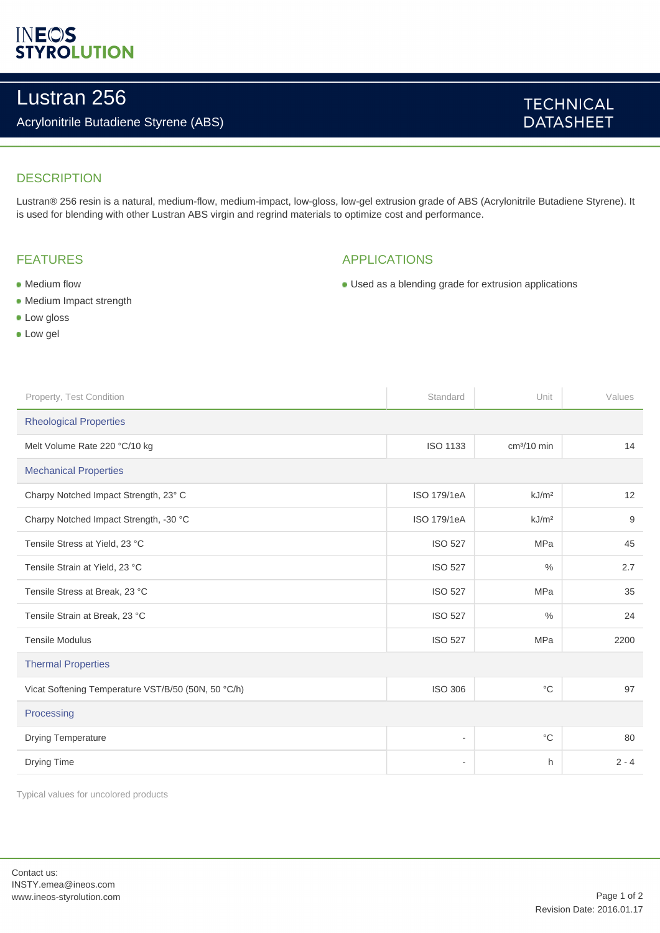# **INEOS**<br>STYROLUTION

## Lustran 256

### Acrylonitrile Butadiene Styrene (ABS)

### **TECHNICAL DATASHEET**

### **DESCRIPTION**

Lustran® 256 resin is a natural, medium-flow, medium-impact, low-gloss, low-gel extrusion grade of ABS (Acrylonitrile Butadiene Styrene). It is used for blending with other Lustran ABS virgin and regrind materials to optimize cost and performance.

### FEATURES

### APPLICATIONS

Used as a blending grade for extrusion applications

- Medium flow
- Medium Impact strength
- **Low gloss**
- **Low gel**

| Standard                      | Unit              | Values  |
|-------------------------------|-------------------|---------|
| <b>Rheological Properties</b> |                   |         |
| <b>ISO 1133</b>               | $cm3/10$ min      | 14      |
| <b>Mechanical Properties</b>  |                   |         |
| ISO 179/1eA                   | kJ/m <sup>2</sup> | 12      |
| <b>ISO 179/1eA</b>            | kJ/m <sup>2</sup> | 9       |
| <b>ISO 527</b>                | <b>MPa</b>        | 45      |
| <b>ISO 527</b>                | $\%$              | 2.7     |
| <b>ISO 527</b>                | <b>MPa</b>        | 35      |
| <b>ISO 527</b>                | $\frac{0}{0}$     | 24      |
| <b>ISO 527</b>                | MPa               | 2200    |
| <b>Thermal Properties</b>     |                   |         |
| <b>ISO 306</b>                | $^{\circ}C$       | 97      |
| Processing                    |                   |         |
| ÷                             | $^{\circ}C$       | 80      |
| $\overline{\phantom{a}}$      | h                 | $2 - 4$ |
|                               |                   |         |

Typical values for uncolored products